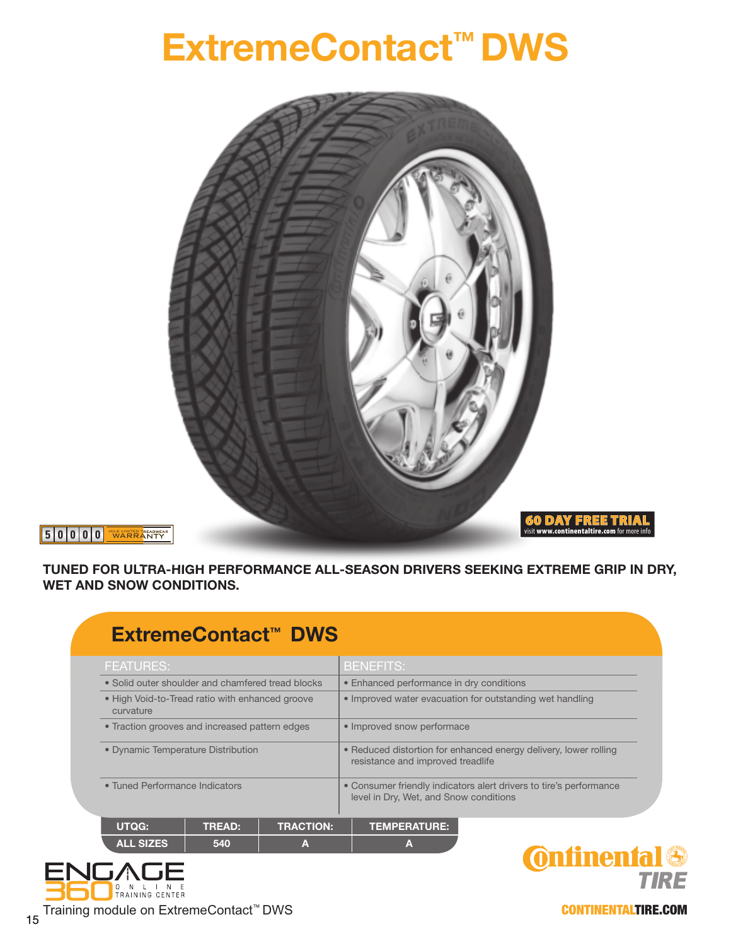## **ExtremeContact™ DWS**



**5 0 0 0 0** MILE LIMITED TREADWEAR WARRANTY

**TUNED FOR ULTRA-HIGH PERFORMANCE ALL-SEASON DRIVERS SEEKING EXTREME GRIP IN DRY, WET AND SNOW CONDITIONS.**

| ExtremeContact <sup>™</sup> DWS                              |                                                                                                              |  |  |  |  |  |  |  |  |  |  |
|--------------------------------------------------------------|--------------------------------------------------------------------------------------------------------------|--|--|--|--|--|--|--|--|--|--|
| <b>FEATURES:</b>                                             | <b>BENEFITS:</b>                                                                                             |  |  |  |  |  |  |  |  |  |  |
| • Solid outer shoulder and chamfered tread blocks            | • Enhanced performance in dry conditions                                                                     |  |  |  |  |  |  |  |  |  |  |
| • High Void-to-Tread ratio with enhanced groove<br>curvature | • Improved water evacuation for outstanding wet handling                                                     |  |  |  |  |  |  |  |  |  |  |
| • Traction grooves and increased pattern edges               | • Improved snow performace                                                                                   |  |  |  |  |  |  |  |  |  |  |
| • Dynamic Temperature Distribution                           | • Reduced distortion for enhanced energy delivery, lower rolling<br>resistance and improved treadlife        |  |  |  |  |  |  |  |  |  |  |
| • Tuned Performance Indicators                               | • Consumer friendly indicators alert drivers to tire's performance<br>level in Dry, Wet, and Snow conditions |  |  |  |  |  |  |  |  |  |  |
| UTQG:<br><b>TREAD:</b>                                       | <b>TRACTION:</b><br><b>TEMPERATURE:</b>                                                                      |  |  |  |  |  |  |  |  |  |  |





CONTINENTALTIRE.COM

Training module on ExtremeContact<sup>™</sup> DWS

O N L I N E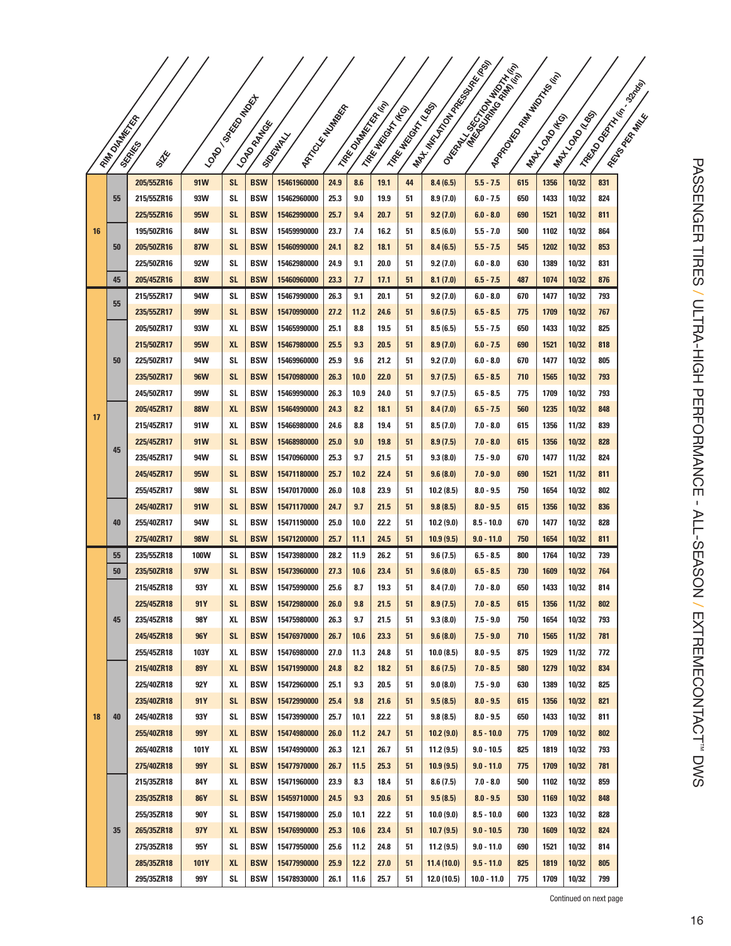|    |                   |                          |             |                 |                          |                            |              |                |                    |                   | Martin Collage River River | <b>I</b> Graze Recording to the Asian |            | I Anadeson Marian Maria I |                |                        |
|----|-------------------|--------------------------|-------------|-----------------|--------------------------|----------------------------|--------------|----------------|--------------------|-------------------|----------------------------|---------------------------------------|------------|---------------------------|----------------|------------------------|
|    |                   |                          |             |                 |                          |                            |              |                |                    |                   |                            |                                       |            |                           |                |                        |
|    |                   |                          |             | I LONDON BROWN  |                          | I ARTICLE MANUSCRIPT       |              | I TRED MARKING | I TARK MATCH THE O | I TAKE MOTIVE ASS |                            |                                       |            |                           |                | I TREDO DESCRIPTION OF |
|    | <b>FAM DIAMER</b> |                          |             |                 | I LONDON MARIE           |                            |              |                |                    |                   |                            |                                       |            | I MAYLON (KG)             | I MATCORO      | I Reyona Maple         |
|    |                   | <b>SKRAKES</b>           |             |                 |                          |                            |              |                |                    |                   |                            |                                       |            |                           |                |                        |
|    |                   | STE                      |             |                 |                          | <b>Siguitary</b>           |              |                |                    |                   |                            |                                       |            |                           |                |                        |
|    |                   | 205/55ZR16               | 91W         | <b>SL</b>       | <b>BSW</b>               | 15461960000                | 24.9         | 8.6            | 19.1               | 44                | 8.4(6.5)                   | $5.5 - 7.5$                           | 615        | 1356                      | 10/32          | 831                    |
|    | 55                | 215/55ZR16               | 93W         | SL              | <b>BSW</b>               | 15462960000                | 25.3         | 9.0            | 19.9               | 51                | 8.9(7.0)                   | $6.0 - 7.5$                           | 650        | 1433                      | 10/32          | 824                    |
|    |                   | 225/55ZR16               | 95W         | <b>SL</b>       | <b>BSW</b>               | 15462990000                | 25.7         | 9.4            | 20.7               | 51                | 9.2(7.0)                   | $6.0 - 8.0$                           | 690        | 1521                      | 10/32          | 811                    |
| 16 |                   | 195/50ZR16               | 84W         | SL              | <b>BSW</b>               | 15459990000                | 23.7         | 7.4            | 16.2               | 51                | 8.5(6.0)                   | $5.5 - 7.0$                           | 500        | 1102                      | 10/32          | 864                    |
|    | 50                | 205/50ZR16               | 87W         | <b>SL</b>       | <b>BSW</b>               | 15460990000                | 24.1         | 8.2            | 18.1               | 51                | 8.4(6.5)                   | $5.5 - 7.5$                           | 545        | 1202                      | 10/32          | 853                    |
|    |                   | 225/50ZR16               | 92W         | SL              | <b>BSW</b>               | 15462980000                | 24.9         | 9.1            | 20.0               | 51                | 9.2 (7.0)                  | $6.0 - 8.0$                           | 630        | 1389                      | 10/32          | 831                    |
|    | 45                | 205/45ZR16               | 83W         | <b>SL</b>       | <b>BSW</b>               | 15460960000                | 23.3         | 7.7            | 17.1               | 51                | 8.1(7.0)                   | $6.5 - 7.5$                           | 487        | 1074                      | 10/32          | 876                    |
|    | 55                | 215/55ZR17               | 94W         | SL              | <b>BSW</b>               | 15467990000                | 26.3         | 9.1            | 20.1               | 51                | 9.2(7.0)                   | $6.0 - 8.0$                           | 670        | 1477                      | 10/32          | 793                    |
|    |                   | 235/55ZR17               | 99W         | <b>SL</b>       | <b>BSW</b>               | 15470990000                | 27.2         | 11.2           | 24.6               | 51                | 9.6(7.5)                   | $6.5 - 8.5$                           | 775        | 1709                      | 10/32          | 767                    |
|    |                   | 205/50ZR17               | 93W<br>95W  | XL              | <b>BSW</b><br><b>BSW</b> | 15465990000                | 25.1<br>25.5 | 8.8            | 19.5               | 51                | 8.5(6.5)                   | $5.5 - 7.5$<br>$6.0 - 7.5$            | 650        | 1433<br>1521              | 10/32          | 825                    |
|    | 50                | 215/50ZR17<br>225/50ZR17 | 94W         | <b>XL</b><br>SL | <b>BSW</b>               | 15467980000<br>15469960000 | 25.9         | 9.3<br>9.6     | 20.5<br>21.2       | 51<br>51          | 8.9(7.0)<br>9.2(7.0)       | $6.0 - 8.0$                           | 690<br>670 | 1477                      | 10/32<br>10/32 | 818<br>805             |
|    |                   | 235/50ZR17               | <b>96W</b>  | <b>SL</b>       | <b>BSW</b>               | 15470980000                | 26.3         | 10.0           | 22.0               | 51                | 9.7(7.5)                   | $6.5 - 8.5$                           | 710        | 1565                      | 10/32          | 793                    |
|    |                   | 245/50ZR17               | 99W         | SL              | <b>BSW</b>               | 15469990000                | 26.3         | 10.9           | 24.0               | 51                | 9.7 (7.5)                  | $6.5 - 8.5$                           | 775        | 1709                      | 10/32          | 793                    |
|    |                   | 205/45ZR17               | <b>88W</b>  | <b>XL</b>       | <b>BSW</b>               | 15464990000                | 24.3         | 8.2            | 18.1               | 51                | 8.4(7.0)                   | $6.5 - 7.5$                           | 560        | 1235                      | 10/32          | 848                    |
| 17 |                   | 215/45ZR17               | 91W         | XL              | <b>BSW</b>               | 15466980000                | 24.6         | 8.8            | 19.4               | 51                | 8.5(7.0)                   | $7.0 - 8.0$                           | 615        | 1356                      | 11/32          | 839                    |
|    |                   | 225/45ZR17               | 91W         | <b>SL</b>       | <b>BSW</b>               | 15468980000                | 25.0         | 9.0            | 19.8               | 51                | 8.9 (7.5)                  | $7.0 - 8.0$                           | 615        | 1356                      | 10/32          | 828                    |
|    | 45                | 235/45ZR17               | 94W         | SL              | <b>BSW</b>               | 15470960000                | 25.3         | 9.7            | 21.5               | 51                | 9.3(8.0)                   | $7.5 - 9.0$                           | 670        | 1477                      | 11/32          | 824                    |
|    |                   | 245/45ZR17               | 95W         | <b>SL</b>       | <b>BSW</b>               | 15471180000                | 25.7         | 10.2           | 22.4               | 51                | 9.6(8.0)                   | $7.0 - 9.0$                           | 690        | 1521                      | 11/32          | 811                    |
|    |                   | 255/45ZR17               | 98W         | SL              | <b>BSW</b>               | 15470170000                | 26.0         | 10.8           | 23.9               | 51                | 10.2(8.5)                  | $8.0 - 9.5$                           | 750        | 1654                      | 10/32          | 802                    |
|    |                   | 245/40ZR17               | 91W         | <b>SL</b>       | <b>BSW</b>               | 15471170000                | 24.7         | 9.7            | 21.5               | 51                | 9.8(8.5)                   | $8.0 - 9.5$                           | 615        | 1356                      | 10/32          | 836                    |
|    | 40                | 255/40ZR17               | 94W         | SL              | <b>BSW</b>               | 15471190000                | 25.0         | 10.0           | 22.2               | 51                | 10.2(9.0)                  | $8.5 - 10.0$                          | 670        | 1477                      | 10/32          | 828                    |
|    |                   | 275/40ZR17               | <b>98W</b>  | <b>SL</b>       | <b>BSW</b>               | 15471200000                | 25.7         | 11.1           | 24.5               | 51                | 10.9(9.5)                  | $9.0 - 11.0$                          | 750        | 1654                      | 10/32          | 811                    |
|    | 55                | 235/55ZR18               | 100W        | SL              | <b>BSW</b>               | 15473980000                | 28.2         | 11.9           | 26.2               | 51                | 9.6(7.5)                   | $6.5 - 8.5$                           | 800        | 1764                      | 10/32          | 739                    |
|    | 50                | 235/50ZR18               | 97W         | <b>SL</b>       | <b>BSW</b>               | 15473960000                | 27.3         | 10.6           | 23.4               | 51                | 9.6(8.0)                   | $6.5 - 8.5$                           | 730        | 1609                      | 10/32          | 764                    |
|    |                   | 215/45ZR18               | 93Y         | XL              | <b>BSW</b>               | 15475990000                | 25.6         | 8.7            | 19.3               | 51                | 8.4 (7.0)                  | $7.0 - 8.0$                           | 650        | 1433                      | 10/32          | 814                    |
|    |                   | 225/45ZR18               | 91Y         | <b>SL</b>       | <b>BSW</b>               | 15472980000                | 26.0         | 9.8            | 21.5               | 51                | 8.9(7.5)                   | $7.0 - 8.5$                           | 615        | 1356                      | 11/32          | 802                    |
|    | 45                | 235/45ZR18               | 98Y         | <b>XL</b>       | <b>BSW</b>               | 15475980000                | 26.3         | 9.7            | 21.5               | 51                | 9.3(8.0)                   | $7.5 - 9.0$                           | 750        | 1654                      | 10/32          | 793                    |
|    |                   | 245/45ZR18               | 96Y         | <b>SL</b>       | <b>BSW</b>               | 15476970000                | 26.7         | 10.6           | 23.3               | 51                | 9.6(8.0)                   | $7.5 - 9.0$                           | 710        | 1565                      | 11/32          | 781                    |
|    |                   | 255/45ZR18               | 103Y<br>89Y | XL<br><b>XL</b> | <b>BSW</b><br><b>BSW</b> | 15476980000<br>15471990000 | 27.0         | 11.3<br>8.2    | 24.8               | 51                | 10.0(8.5)                  | $8.0 - 9.5$<br>$7.0 - 8.5$            | 875<br>580 | 1929<br>1279              | 11/32<br>10/32 | 772                    |
|    |                   | 215/40ZR18<br>225/40ZR18 | 92 Y        | XL              | <b>BSW</b>               | 15472960000                | 24.8<br>25.1 | 9.3            | 18.2<br>20.5       | 51<br>51          | 8.6(7.5)<br>9.0(8.0)       | $7.5 - 9.0$                           | 630        | 1389                      | 10/32          | 834<br>825             |
|    |                   | 235/40ZR18               | 91Y         | <b>SL</b>       | <b>BSW</b>               | 15472990000                | 25.4         | 9.8            | 21.6               | 51                | 9.5(8.5)                   | $8.0 - 9.5$                           | 615        | 1356                      | 10/32          | 821                    |
| 18 | 40                | 245/40ZR18               | 93Y         | SL              | <b>BSW</b>               | 15473990000                | 25.7         | 10.1           | 22.2               | 51                | 9.8(8.5)                   | $8.0 - 9.5$                           | 650        | 1433                      | 10/32          | 811                    |
|    |                   | 255/40ZR18               | 99Y         | <b>XL</b>       | <b>BSW</b>               | 15474980000                | 26.0         | 11.2           | 24.7               | 51                | 10.2(9.0)                  | $8.5 - 10.0$                          | 775        | 1709                      | 10/32          | 802                    |
|    |                   | 265/40ZR18               | 101Y        | XL              | <b>BSW</b>               | 15474990000                | 26.3         | 12.1           | 26.7               | 51                | 11.2(9.5)                  | $9.0 - 10.5$                          | 825        | 1819                      | 10/32          | 793                    |
|    |                   | 275/40ZR18               | 99Y         | <b>SL</b>       | <b>BSW</b>               | 15477970000                | 26.7         | 11.5           | 25.3               | 51                | 10.9(9.5)                  | $9.0 - 11.0$                          | 775        | 1709                      | 10/32          | 781                    |
|    |                   | 215/35ZR18               | 84Y         | XL              | <b>BSW</b>               | 15471960000                | 23.9         | 8.3            | 18.4               | 51                | 8.6(7.5)                   | $7.0 - 8.0$                           | 500        | 1102                      | 10/32          | 859                    |
|    |                   | 235/35ZR18               | <b>86Y</b>  | <b>SL</b>       | <b>BSW</b>               | 15459710000                | 24.5         | 9.3            | 20.6               | 51                | 9.5(8.5)                   | $8.0 - 9.5$                           | 530        | 1169                      | 10/32          | 848                    |
|    |                   | 255/35ZR18               | 90Y         | SL              | <b>BSW</b>               | 15471980000                | 25.0         | 10.1           | 22.2               | 51                | 10.0(9.0)                  | $8.5 - 10.0$                          | 600        | 1323                      | 10/32          | 828                    |
|    | 35                | 265/35ZR18               | 97Y         | <b>XL</b>       | <b>BSW</b>               | 15476990000                | 25.3         | 10.6           | 23.4               | 51                | 10.7(9.5)                  | $9.0 - 10.5$                          | 730        | 1609                      | 10/32          | 824                    |
|    |                   | 275/35ZR18               | 95 Y        | <b>SL</b>       | <b>BSW</b>               | 15477950000                | 25.6         | 11.2           | 24.8               | 51                | 11.2(9.5)                  | $9.0 - 11.0$                          | 690        | 1521                      | 10/32          | 814                    |
|    |                   | 285/35ZR18               | 101Y        | <b>XL</b>       | <b>BSW</b>               | 15477990000                | 25.9         | 12.2           | 27.0               | 51                | 11.4(10.0)                 | $9.5 - 11.0$                          | 825        | 1819                      | 10/32          | 805                    |
|    |                   | 295/35ZR18               | 99Y         | SL              | <b>BSW</b>               | 15478930000                | 26.1         | 11.6           | 25.7               | 51                | 12.0 (10.5)                | $10.0 - 11.0$                         | 775        | 1709                      | 10/32          | 799                    |

Continued on next page